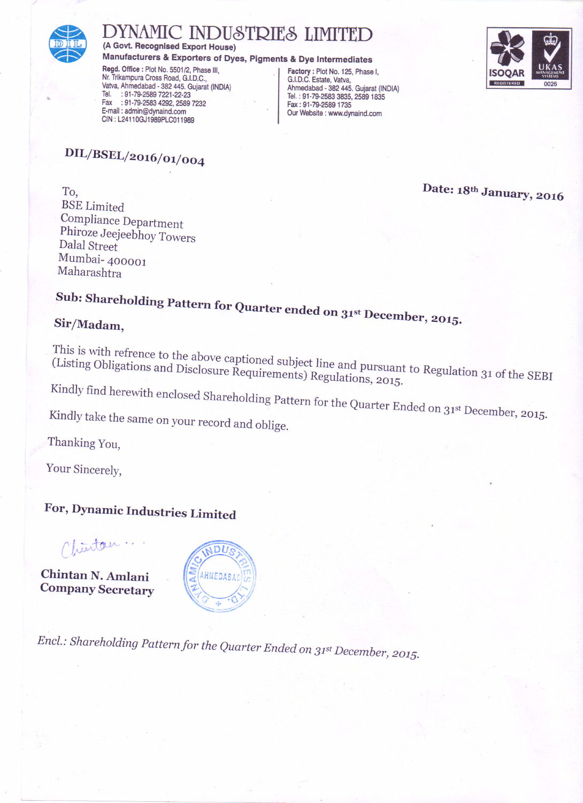

## MIC INDUSTRIES LIMITED

(A Govt. Recognised Export House)

Manufacturers & Exporters of Dyes, Pigments & Dye Intermediates

Regd. Office : Plot No. 5501/2, Phase III, Nr. Trikampura Cross Road, G.I.D.C., Vatva, Ahmedabad - 382 445. Gujarat (INDIA)<br>Tel. : 91-79-2589 7221-22-23 : 91-79-2583 4292, 2589 7232 Fax E-mail: admin@dynaind.com CIN: L24110GJ1989PLC011989

Factory: Plot No. 125, Phase I,<br>G.I.D.C. Estate, Vatva, Ahmedabad - 382 445. Gujarat (INDIA) Tel.: 91-79-2583 3835, 2589 1835 Fax: 91-79-2589 1735 Our Website : www.dynaind.com



DIL/BSEL/2016/01/004

To, **BSE** Limited Compliance Department Phiroze Jeejeebhoy Towers Dalal Street Mumbai-400001 Maharashtra

Date: 18th January, 2016

## Sub: Shareholding Pattern for Quarter ended on 31st December, 2015.

## Sir/Madam,

This is with refrence to the above captioned subject line and pursuant to Regulation 31 of the SEBI (Listing Obligations and Disclosure Requirements) Regulations, 2015.

Kindly find herewith enclosed Shareholding Pattern for the Quarter Ended on 31st December, 2015.

Kindly take the same on your record and oblige.

Thanking You,

Your Sincerely,

## For, Dynamic Industries Limited

Chinton

Chintan N. Amlani **Company Secretary** 



Encl.: Shareholding Pattern for the Quarter Ended on 31st December, 2015.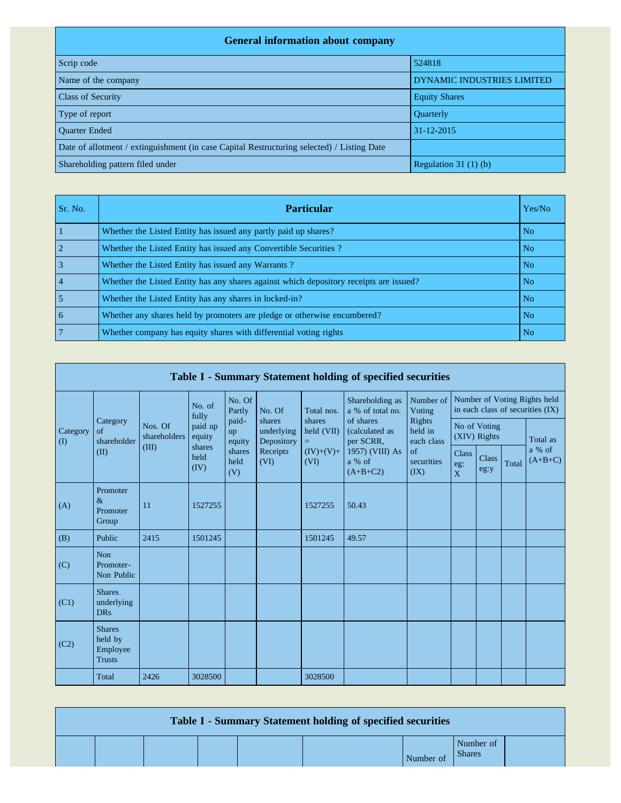| <b>General information about company</b>                                                   |                            |  |  |  |  |  |  |  |
|--------------------------------------------------------------------------------------------|----------------------------|--|--|--|--|--|--|--|
| Scrip code                                                                                 | 524818                     |  |  |  |  |  |  |  |
| Name of the company                                                                        | DYNAMIC INDUSTRIES LIMITED |  |  |  |  |  |  |  |
| <b>Class of Security</b>                                                                   | <b>Equity Shares</b>       |  |  |  |  |  |  |  |
| Type of report                                                                             | Quarterly                  |  |  |  |  |  |  |  |
| <b>Ouarter Ended</b>                                                                       | 31-12-2015                 |  |  |  |  |  |  |  |
| Date of allotment / extinguishment (in case Capital Restructuring selected) / Listing Date |                            |  |  |  |  |  |  |  |
| Shareholding pattern filed under                                                           | Regulation $31(1)(b)$      |  |  |  |  |  |  |  |

| Sr. No. | <b>Particular</b>                                                                      | Yes/No         |
|---------|----------------------------------------------------------------------------------------|----------------|
|         | Whether the Listed Entity has issued any partly paid up shares?                        | No             |
|         | Whether the Listed Entity has issued any Convertible Securities ?                      | N <sub>o</sub> |
|         | Whether the Listed Entity has issued any Warrants?                                     | N <sub>o</sub> |
|         | Whether the Listed Entity has any shares against which depository receipts are issued? | N <sub>o</sub> |
|         | Whether the Listed Entity has any shares in locked-in?                                 | N <sub>o</sub> |
| 6       | Whether any shares held by promoters are pledge or otherwise encumbered?               | N <sub>o</sub> |
|         | Whether company has equity shares with differential voting rights                      | N <sub>o</sub> |

|                                        | Table I - Summary Statement holding of specified securities |                         |                        |                       |                                                        |                             |                                          |                                                             |                                                                  |                      |       |                     |
|----------------------------------------|-------------------------------------------------------------|-------------------------|------------------------|-----------------------|--------------------------------------------------------|-----------------------------|------------------------------------------|-------------------------------------------------------------|------------------------------------------------------------------|----------------------|-------|---------------------|
|                                        |                                                             |                         | No. of<br>fully        | No. Of<br>Partly      | No. Of                                                 | Total nos.                  | Shareholding as<br>a % of total no.      | Number of<br>Voting                                         | Number of Voting Rights held<br>in each class of securities (IX) |                      |       |                     |
| Category<br>$\left( \mathrm{I}\right)$ | Category<br>$\sigma$ f<br>shareholder                       | Nos. Of<br>shareholders | paid up<br>equity      | paid-<br>up<br>equity | shares<br>underlying<br>Depository<br>Receipts<br>(VI) | shares<br>held (VII)<br>$=$ | of shares<br>(calculated as<br>per SCRR, | Rights<br>held in<br>each class<br>of<br>securities<br>(IX) | No of Voting<br>(XIV) Rights                                     |                      |       | Total as            |
|                                        | (II)                                                        | (III)                   | shares<br>held<br>(IV) | shares<br>held<br>(V) |                                                        | $(IV)+(V)+$<br>(VI)         | 1957) (VIII) As<br>a % of<br>$(A+B+C2)$  |                                                             | <b>Class</b><br>$\mathrm{eg}\colon$<br>$\overline{X}$            | <b>Class</b><br>eg:y | Total | a % of<br>$(A+B+C)$ |
| (A)                                    | Promoter<br>$\&$<br>Promoter<br>Group                       | 11                      | 1527255                |                       |                                                        | 1527255                     | 50.43                                    |                                                             |                                                                  |                      |       |                     |
| (B)                                    | Public                                                      | 2415                    | 1501245                |                       |                                                        | 1501245                     | 49.57                                    |                                                             |                                                                  |                      |       |                     |
| (C)                                    | Non<br>Promoter-<br>Non Public                              |                         |                        |                       |                                                        |                             |                                          |                                                             |                                                                  |                      |       |                     |
| (C1)                                   | <b>Shares</b><br>underlying<br><b>DRs</b>                   |                         |                        |                       |                                                        |                             |                                          |                                                             |                                                                  |                      |       |                     |
| (C2)                                   | <b>Shares</b><br>held by<br>Employee<br><b>Trusts</b>       |                         |                        |                       |                                                        |                             |                                          |                                                             |                                                                  |                      |       |                     |
|                                        | Total                                                       | 2426                    | 3028500                |                       |                                                        | 3028500                     |                                          |                                                             |                                                                  |                      |       |                     |

| Table I - Summary Statement holding of specified securities |  |  |  |  |           |                            |  |  |  |
|-------------------------------------------------------------|--|--|--|--|-----------|----------------------------|--|--|--|
|                                                             |  |  |  |  | Number of | Number of<br><b>Shares</b> |  |  |  |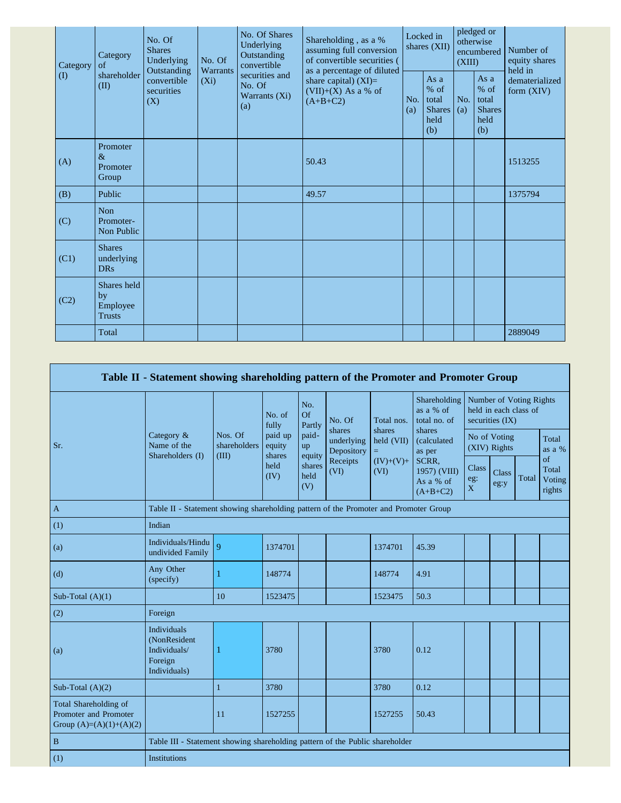| Category  | Category<br>of                                 | No. Of<br><b>Shares</b><br>Underlying<br>Outstanding | No. Of<br>Warrants | No. Of Shares<br>Underlying<br>Outstanding<br>convertible | Shareholding, as a %<br>assuming full conversion<br>of convertible securities (<br>as a percentage of diluted | Locked in<br>shares (XII) |                                                         | pledged or<br>otherwise<br>encumbered<br>(XIII) |                                                         | Number of<br>equity shares<br>held in |  |
|-----------|------------------------------------------------|------------------------------------------------------|--------------------|-----------------------------------------------------------|---------------------------------------------------------------------------------------------------------------|---------------------------|---------------------------------------------------------|-------------------------------------------------|---------------------------------------------------------|---------------------------------------|--|
| $\rm (I)$ | shareholder<br>(II)                            | convertible<br>securities<br>(X)                     | $(X_i)$            | securities and<br>No. Of<br>Warrants (Xi)<br>(a)          | share capital) $(XI)=$<br>$(VII)+(X)$ As a % of<br>$(A+B+C2)$                                                 | No.<br>(a)                | As a<br>$%$ of<br>total<br><b>Shares</b><br>held<br>(b) | No.<br>(a)                                      | As a<br>$%$ of<br>total<br><b>Shares</b><br>held<br>(b) | dematerialized<br>form $(XIV)$        |  |
| (A)       | Promoter<br>$\&$<br>Promoter<br>Group          |                                                      |                    |                                                           | 50.43                                                                                                         |                           |                                                         |                                                 |                                                         | 1513255                               |  |
| (B)       | Public                                         |                                                      |                    |                                                           | 49.57                                                                                                         |                           |                                                         |                                                 |                                                         | 1375794                               |  |
| (C)       | <b>Non</b><br>Promoter-<br>Non Public          |                                                      |                    |                                                           |                                                                                                               |                           |                                                         |                                                 |                                                         |                                       |  |
| (C1)      | <b>Shares</b><br>underlying<br><b>DRs</b>      |                                                      |                    |                                                           |                                                                                                               |                           |                                                         |                                                 |                                                         |                                       |  |
| (C2)      | Shares held<br>by<br>Employee<br><b>Trusts</b> |                                                      |                    |                                                           |                                                                                                               |                           |                                                         |                                                 |                                                         |                                       |  |
|           | Total                                          |                                                      |                    |                                                           |                                                                                                               |                           |                                                         |                                                 |                                                         | 2889049                               |  |

|                                                                                    | Table II - Statement showing shareholding pattern of the Promoter and Promoter Group |                                                                                      |                             |                       |                                    |                      |                                                  |                                                                     |                      |       |                                 |
|------------------------------------------------------------------------------------|--------------------------------------------------------------------------------------|--------------------------------------------------------------------------------------|-----------------------------|-----------------------|------------------------------------|----------------------|--------------------------------------------------|---------------------------------------------------------------------|----------------------|-------|---------------------------------|
|                                                                                    |                                                                                      |                                                                                      | No. of<br>fully             | No.<br>Of<br>Partly   | No. Of                             | Total nos.<br>shares | Shareholding<br>as a % of<br>total no. of        | Number of Voting Rights<br>held in each class of<br>securities (IX) |                      |       |                                 |
| Sr.                                                                                | Category &<br>Name of the<br>Shareholders (I)                                        | Nos. Of<br>shareholders<br>(III)                                                     | paid up<br>equity<br>shares | paid-<br>up<br>equity | shares<br>underlying<br>Depository | held (VII)<br>$=$    | shares<br>(calculated<br>as per                  | No of Voting<br>(XIV) Rights                                        |                      |       | Total<br>as a $%$               |
|                                                                                    |                                                                                      |                                                                                      | held<br>(IV)                | shares<br>held<br>(V) | Receipts<br>(VI)                   | $(IV)+(V)+$<br>(VI)  | SCRR,<br>1957) (VIII)<br>As a % of<br>$(A+B+C2)$ | <b>Class</b><br>eg:<br>X                                            | <b>Class</b><br>eg:y | Total | of<br>Total<br>Voting<br>rights |
| $\mathbf{A}$                                                                       |                                                                                      | Table II - Statement showing shareholding pattern of the Promoter and Promoter Group |                             |                       |                                    |                      |                                                  |                                                                     |                      |       |                                 |
| (1)                                                                                | Indian                                                                               |                                                                                      |                             |                       |                                    |                      |                                                  |                                                                     |                      |       |                                 |
| (a)                                                                                | Individuals/Hindu<br>undivided Family                                                | $\overline{9}$                                                                       | 1374701                     |                       |                                    | 1374701              | 45.39                                            |                                                                     |                      |       |                                 |
| (d)                                                                                | Any Other<br>(specify)                                                               |                                                                                      | 148774                      |                       |                                    | 148774               | 4.91                                             |                                                                     |                      |       |                                 |
| Sub-Total $(A)(1)$                                                                 |                                                                                      | 10                                                                                   | 1523475                     |                       |                                    | 1523475              | 50.3                                             |                                                                     |                      |       |                                 |
| (2)                                                                                | Foreign                                                                              |                                                                                      |                             |                       |                                    |                      |                                                  |                                                                     |                      |       |                                 |
| (a)                                                                                | Individuals<br>(NonResident<br>Individuals/<br>Foreign<br>Individuals)               |                                                                                      | 3780                        |                       |                                    | 3780                 | 0.12                                             |                                                                     |                      |       |                                 |
| Sub-Total $(A)(2)$                                                                 |                                                                                      | 1                                                                                    | 3780                        |                       |                                    | 3780                 | 0.12                                             |                                                                     |                      |       |                                 |
| <b>Total Shareholding of</b><br>Promoter and Promoter<br>Group $(A)=(A)(1)+(A)(2)$ |                                                                                      | 11                                                                                   | 1527255                     |                       |                                    | 1527255              | 50.43                                            |                                                                     |                      |       |                                 |
| $\, {\bf B}$                                                                       |                                                                                      | Table III - Statement showing shareholding pattern of the Public shareholder         |                             |                       |                                    |                      |                                                  |                                                                     |                      |       |                                 |
| (1)                                                                                | <b>Institutions</b>                                                                  |                                                                                      |                             |                       |                                    |                      |                                                  |                                                                     |                      |       |                                 |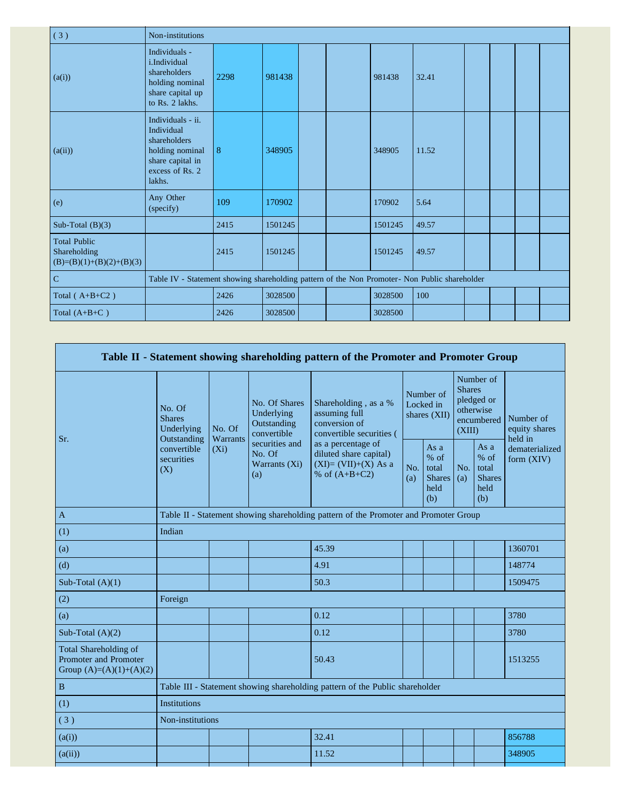| (3)                                                               | Non-institutions                                                                                                    |      |         |  |  |         |       |  |  |  |  |
|-------------------------------------------------------------------|---------------------------------------------------------------------------------------------------------------------|------|---------|--|--|---------|-------|--|--|--|--|
| (a(i))                                                            | Individuals -<br>i.Individual<br>shareholders<br>holding nominal<br>share capital up<br>to Rs. 2 lakhs.             | 2298 | 981438  |  |  | 981438  | 32.41 |  |  |  |  |
| (a(ii))                                                           | Individuals - ii.<br>Individual<br>shareholders<br>holding nominal<br>share capital in<br>excess of Rs. 2<br>lakhs. | 8    | 348905  |  |  | 348905  | 11.52 |  |  |  |  |
| (e)                                                               | Any Other<br>(specify)                                                                                              | 109  | 170902  |  |  | 170902  | 5.64  |  |  |  |  |
| Sub-Total $(B)(3)$                                                |                                                                                                                     | 2415 | 1501245 |  |  | 1501245 | 49.57 |  |  |  |  |
| <b>Total Public</b><br>Shareholding<br>$(B)=(B)(1)+(B)(2)+(B)(3)$ |                                                                                                                     | 2415 | 1501245 |  |  | 1501245 | 49.57 |  |  |  |  |
| $\mathbf C$                                                       | Table IV - Statement showing shareholding pattern of the Non Promoter- Non Public shareholder                       |      |         |  |  |         |       |  |  |  |  |
| Total $(A+B+C2)$                                                  |                                                                                                                     | 2426 | 3028500 |  |  | 3028500 | 100   |  |  |  |  |
| Total $(A+B+C)$                                                   |                                                                                                                     | 2426 | 3028500 |  |  | 3028500 |       |  |  |  |  |

|                                                                                    |                                       |                                                                                        |                                                           | Table II - Statement showing shareholding pattern of the Promoter and Promoter Group     |                                        |                                                       |                                                                               |                                                         |                                       |  |
|------------------------------------------------------------------------------------|---------------------------------------|----------------------------------------------------------------------------------------|-----------------------------------------------------------|------------------------------------------------------------------------------------------|----------------------------------------|-------------------------------------------------------|-------------------------------------------------------------------------------|---------------------------------------------------------|---------------------------------------|--|
| Sr.                                                                                | No. Of<br><b>Shares</b><br>Underlying | No. Of                                                                                 | No. Of Shares<br>Underlying<br>Outstanding<br>convertible | Shareholding, as a %<br>assuming full<br>conversion of<br>convertible securities (       | Number of<br>Locked in<br>shares (XII) |                                                       | Number of<br><b>Shares</b><br>pledged or<br>otherwise<br>encumbered<br>(XIII) |                                                         | Number of<br>equity shares<br>held in |  |
|                                                                                    | convertible<br>securities<br>(X)      | Warrants<br>Outstanding<br>securities and<br>$(X_i)$<br>No. Of<br>Warrants (Xi)<br>(a) |                                                           | as a percentage of<br>diluted share capital)<br>$(XI)=(VII)+(X)$ As a<br>% of $(A+B+C2)$ | No.<br>(a)                             | As a<br>% of<br>total<br><b>Shares</b><br>held<br>(b) | No.<br>(a)                                                                    | As a<br>$%$ of<br>total<br><b>Shares</b><br>held<br>(b) | dematerialized<br>form $(XIV)$        |  |
| $\mathbf{A}$                                                                       |                                       |                                                                                        |                                                           | Table II - Statement showing shareholding pattern of the Promoter and Promoter Group     |                                        |                                                       |                                                                               |                                                         |                                       |  |
| (1)                                                                                | Indian                                |                                                                                        |                                                           |                                                                                          |                                        |                                                       |                                                                               |                                                         |                                       |  |
| (a)                                                                                |                                       |                                                                                        |                                                           | 45.39                                                                                    |                                        |                                                       |                                                                               |                                                         | 1360701                               |  |
| (d)                                                                                |                                       |                                                                                        |                                                           | 4.91                                                                                     |                                        |                                                       |                                                                               |                                                         | 148774                                |  |
| Sub-Total $(A)(1)$                                                                 |                                       |                                                                                        |                                                           | 50.3                                                                                     |                                        |                                                       |                                                                               |                                                         | 1509475                               |  |
| (2)                                                                                | Foreign                               |                                                                                        |                                                           |                                                                                          |                                        |                                                       |                                                                               |                                                         |                                       |  |
| (a)                                                                                |                                       |                                                                                        |                                                           | 0.12                                                                                     |                                        |                                                       |                                                                               |                                                         | 3780                                  |  |
| Sub-Total $(A)(2)$                                                                 |                                       |                                                                                        |                                                           | 0.12                                                                                     |                                        |                                                       |                                                                               |                                                         | 3780                                  |  |
| Total Shareholding of<br><b>Promoter and Promoter</b><br>Group $(A)=(A)(1)+(A)(2)$ |                                       |                                                                                        |                                                           | 50.43                                                                                    |                                        |                                                       |                                                                               |                                                         | 1513255                               |  |
| $\, {\bf B}$                                                                       |                                       |                                                                                        |                                                           | Table III - Statement showing shareholding pattern of the Public shareholder             |                                        |                                                       |                                                                               |                                                         |                                       |  |
| (1)                                                                                | Institutions                          |                                                                                        |                                                           |                                                                                          |                                        |                                                       |                                                                               |                                                         |                                       |  |
| (3)                                                                                | Non-institutions                      |                                                                                        |                                                           |                                                                                          |                                        |                                                       |                                                                               |                                                         |                                       |  |
| (a(i))                                                                             |                                       |                                                                                        |                                                           | 32.41                                                                                    |                                        |                                                       |                                                                               |                                                         | 856788                                |  |
| (a(ii))                                                                            |                                       |                                                                                        |                                                           | 11.52                                                                                    |                                        |                                                       |                                                                               |                                                         | 348905                                |  |
|                                                                                    |                                       |                                                                                        |                                                           |                                                                                          |                                        |                                                       |                                                                               |                                                         |                                       |  |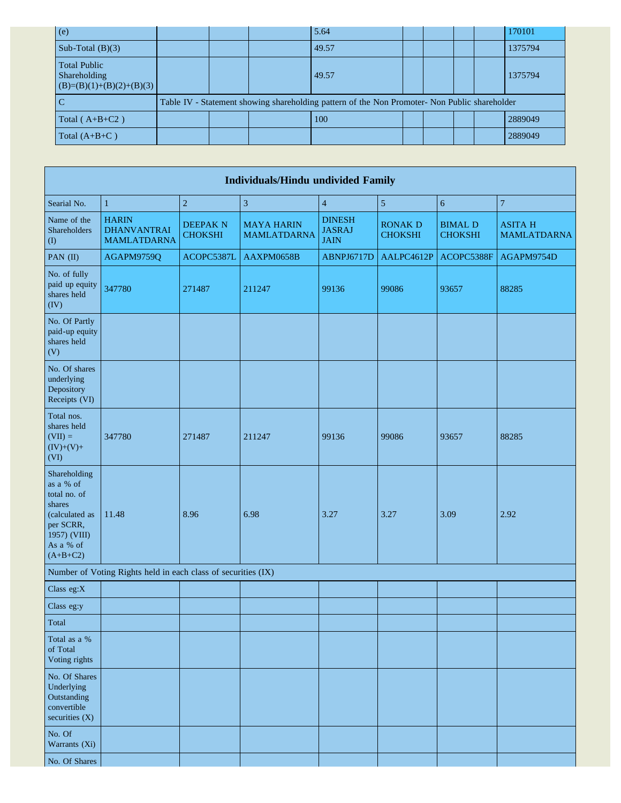| (e)                                                               |  | 5.64                                                                                          |  |  | 170101  |
|-------------------------------------------------------------------|--|-----------------------------------------------------------------------------------------------|--|--|---------|
| Sub-Total $(B)(3)$                                                |  | 49.57                                                                                         |  |  | 1375794 |
| <b>Total Public</b><br>Shareholding<br>$(B)=(B)(1)+(B)(2)+(B)(3)$ |  | 49.57                                                                                         |  |  | 1375794 |
| I C                                                               |  | Table IV - Statement showing shareholding pattern of the Non Promoter- Non Public shareholder |  |  |         |
| Total $(A+B+C2)$                                                  |  | 100                                                                                           |  |  | 2889049 |
| Total $(A+B+C)$                                                   |  |                                                                                               |  |  | 2889049 |

| Individuals/Hindu undivided Family                                                                                            |                                                               |                                   |                                         |                                               |                                  |                                  |                                      |  |  |  |
|-------------------------------------------------------------------------------------------------------------------------------|---------------------------------------------------------------|-----------------------------------|-----------------------------------------|-----------------------------------------------|----------------------------------|----------------------------------|--------------------------------------|--|--|--|
| Searial No.                                                                                                                   | $\,1\,$                                                       | $\sqrt{2}$                        | $\sqrt{3}$                              | $\overline{4}$                                | $\sqrt{5}$                       | $\overline{6}$                   | $\overline{7}$                       |  |  |  |
| Name of the<br>Shareholders<br>$($ $($ $)$                                                                                    | <b>HARIN</b><br><b>DHANVANTRAI</b><br><b>MAMLATDARNA</b>      | <b>DEEPAK N</b><br><b>CHOKSHI</b> | <b>MAYA HARIN</b><br><b>MAMLATDARNA</b> | <b>DINESH</b><br><b>JASRAJ</b><br><b>JAIN</b> | <b>RONAK D</b><br><b>CHOKSHI</b> | <b>BIMAL D</b><br><b>CHOKSHI</b> | <b>ASITA H</b><br><b>MAMLATDARNA</b> |  |  |  |
| PAN (II)                                                                                                                      | AGAPM9759Q                                                    | ACOPC5387L                        | AAXPM0658B                              | ABNPJ6717D                                    | AALPC4612P                       | ACOPC5388F                       | AGAPM9754D                           |  |  |  |
| No. of fully<br>paid up equity<br>shares held<br>(IV)                                                                         | 347780                                                        | 271487                            | 211247                                  | 99136                                         | 99086                            | 93657                            | 88285                                |  |  |  |
| No. Of Partly<br>paid-up equity<br>shares held<br>(V)                                                                         |                                                               |                                   |                                         |                                               |                                  |                                  |                                      |  |  |  |
| No. Of shares<br>underlying<br>Depository<br>Receipts (VI)                                                                    |                                                               |                                   |                                         |                                               |                                  |                                  |                                      |  |  |  |
| Total nos.<br>shares held<br>$(VII) =$<br>$(IV)+(V)+$<br>(VI)                                                                 | 347780                                                        | 271487                            | 211247                                  | 99136                                         | 99086                            | 93657                            | 88285                                |  |  |  |
| Shareholding<br>as a % of<br>total no. of<br>shares<br>(calculated as<br>per SCRR,<br>1957) (VIII)<br>As a % of<br>$(A+B+C2)$ | 11.48                                                         | 8.96                              | 6.98                                    | 3.27                                          | 3.27                             | 3.09                             | 2.92                                 |  |  |  |
|                                                                                                                               | Number of Voting Rights held in each class of securities (IX) |                                   |                                         |                                               |                                  |                                  |                                      |  |  |  |
| Class eg:X                                                                                                                    |                                                               |                                   |                                         |                                               |                                  |                                  |                                      |  |  |  |
| Class eg:y                                                                                                                    |                                                               |                                   |                                         |                                               |                                  |                                  |                                      |  |  |  |
| Total                                                                                                                         |                                                               |                                   |                                         |                                               |                                  |                                  |                                      |  |  |  |
| Total as a %<br>of Total<br>Voting rights                                                                                     |                                                               |                                   |                                         |                                               |                                  |                                  |                                      |  |  |  |
| No. Of Shares<br>Underlying<br>Outstanding<br>convertible<br>securities (X)                                                   |                                                               |                                   |                                         |                                               |                                  |                                  |                                      |  |  |  |
| No. Of<br>Warrants (Xi)                                                                                                       |                                                               |                                   |                                         |                                               |                                  |                                  |                                      |  |  |  |
| No. Of Shares                                                                                                                 |                                                               |                                   |                                         |                                               |                                  |                                  |                                      |  |  |  |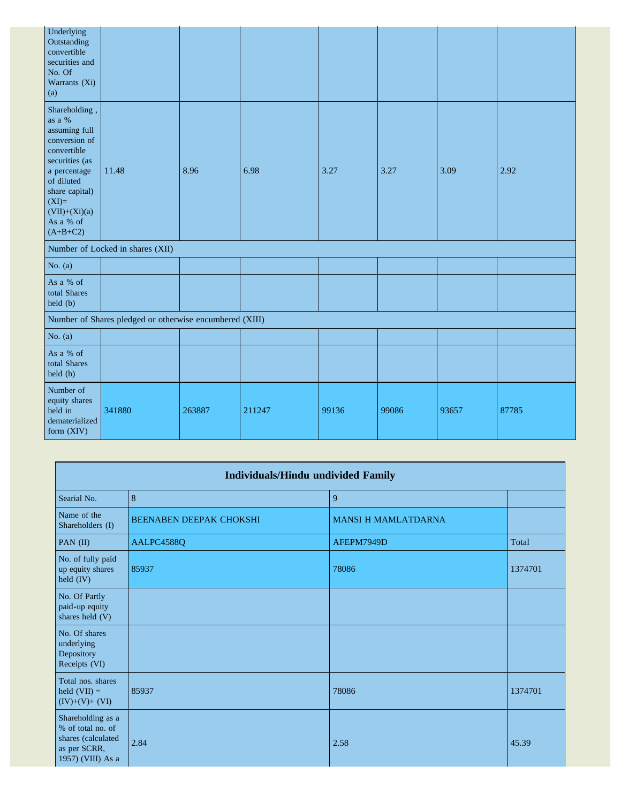| Underlying<br>Outstanding<br>convertible<br>securities and<br>No. Of<br>Warrants (Xi)<br>(a)                                                                                                        |                                                         |        |        |       |       |       |       |
|-----------------------------------------------------------------------------------------------------------------------------------------------------------------------------------------------------|---------------------------------------------------------|--------|--------|-------|-------|-------|-------|
| Shareholding,<br>as a %<br>assuming full<br>conversion of<br>convertible<br>securities (as<br>a percentage<br>of diluted<br>share capital)<br>$(XI)=$<br>$(VII)+(Xi)(a)$<br>As a % of<br>$(A+B+C2)$ | 11.48                                                   | 8.96   | 6.98   | 3.27  | 3.27  | 3.09  | 2.92  |
|                                                                                                                                                                                                     | Number of Locked in shares (XII)                        |        |        |       |       |       |       |
| No. $(a)$                                                                                                                                                                                           |                                                         |        |        |       |       |       |       |
| As a % of<br>total Shares<br>$\text{held }(b)$                                                                                                                                                      |                                                         |        |        |       |       |       |       |
|                                                                                                                                                                                                     | Number of Shares pledged or otherwise encumbered (XIII) |        |        |       |       |       |       |
| No. $(a)$                                                                                                                                                                                           |                                                         |        |        |       |       |       |       |
| As a % of<br>total Shares<br>held (b)                                                                                                                                                               |                                                         |        |        |       |       |       |       |
| Number of<br>equity shares<br>held in<br>dematerialized<br>form (XIV)                                                                                                                               | 341880                                                  | 263887 | 211247 | 99136 | 99086 | 93657 | 87785 |

|                                                                                                   | <b>Individuals/Hindu undivided Family</b> |                            |         |  |  |  |  |  |  |  |
|---------------------------------------------------------------------------------------------------|-------------------------------------------|----------------------------|---------|--|--|--|--|--|--|--|
| Searial No.                                                                                       | 8                                         | 9                          |         |  |  |  |  |  |  |  |
| Name of the<br>Shareholders (I)                                                                   | <b>BEENABEN DEEPAK CHOKSHI</b>            | <b>MANSI H MAMLATDARNA</b> |         |  |  |  |  |  |  |  |
| PAN (II)                                                                                          | AALPC4588Q                                | AFEPM7949D                 | Total   |  |  |  |  |  |  |  |
| No. of fully paid<br>up equity shares<br>held (IV)                                                | 85937                                     | 78086                      | 1374701 |  |  |  |  |  |  |  |
| No. Of Partly<br>paid-up equity<br>shares held (V)                                                |                                           |                            |         |  |  |  |  |  |  |  |
| No. Of shares<br>underlying<br>Depository<br>Receipts (VI)                                        |                                           |                            |         |  |  |  |  |  |  |  |
| Total nos. shares<br>held $(VII) =$<br>$(IV)+(V)+(VI)$                                            | 85937                                     | 78086                      | 1374701 |  |  |  |  |  |  |  |
| Shareholding as a<br>% of total no. of<br>shares (calculated<br>as per SCRR,<br>1957) (VIII) As a | 2.84                                      | 2.58                       | 45.39   |  |  |  |  |  |  |  |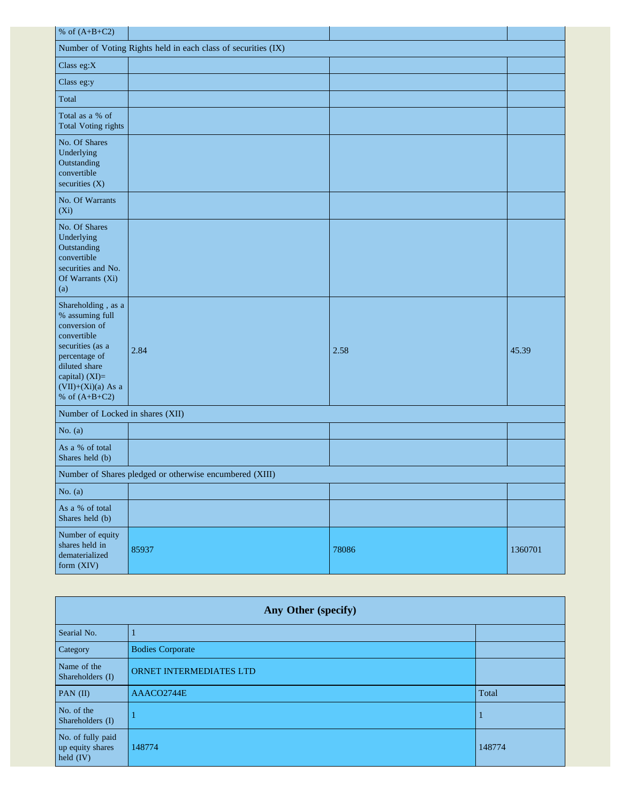| % of $(A+B+C2)$                                                                                                                                                                          |       |       |         |  |
|------------------------------------------------------------------------------------------------------------------------------------------------------------------------------------------|-------|-------|---------|--|
| Number of Voting Rights held in each class of securities (IX)                                                                                                                            |       |       |         |  |
| Class eg:X                                                                                                                                                                               |       |       |         |  |
| Class eg:y                                                                                                                                                                               |       |       |         |  |
| Total                                                                                                                                                                                    |       |       |         |  |
| Total as a % of<br><b>Total Voting rights</b>                                                                                                                                            |       |       |         |  |
| No. Of Shares<br>Underlying<br>Outstanding<br>convertible<br>securities $(X)$                                                                                                            |       |       |         |  |
| No. Of Warrants<br>$(X_i)$                                                                                                                                                               |       |       |         |  |
| No. Of Shares<br>Underlying<br>Outstanding<br>convertible<br>securities and No.<br>Of Warrants (Xi)<br>(a)                                                                               |       |       |         |  |
| Shareholding, as a<br>% assuming full<br>conversion of<br>convertible<br>securities (as a<br>percentage of<br>diluted share<br>capital) (XI)=<br>$(VII)+(Xi)(a)$ As a<br>% of $(A+B+C2)$ | 2.84  | 2.58  | 45.39   |  |
| Number of Locked in shares (XII)                                                                                                                                                         |       |       |         |  |
| No. $(a)$                                                                                                                                                                                |       |       |         |  |
| As a % of total<br>Shares held (b)                                                                                                                                                       |       |       |         |  |
| Number of Shares pledged or otherwise encumbered (XIII)                                                                                                                                  |       |       |         |  |
| No. $(a)$                                                                                                                                                                                |       |       |         |  |
| As a % of total<br>Shares held (b)                                                                                                                                                       |       |       |         |  |
| Number of equity<br>shares held in<br>dematerialized<br>form (XIV)                                                                                                                       | 85937 | 78086 | 1360701 |  |

| Any Other (specify)                                  |                         |        |  |
|------------------------------------------------------|-------------------------|--------|--|
| Searial No.                                          |                         |        |  |
| Category                                             | <b>Bodies Corporate</b> |        |  |
| Name of the<br>Shareholders (I)                      | ORNET INTERMEDIATES LTD |        |  |
| PAN $(II)$                                           | AAACO2744E              | Total  |  |
| No. of the<br>Shareholders (I)                       |                         | л      |  |
| No. of fully paid<br>up equity shares<br>held $(IV)$ | 148774                  | 148774 |  |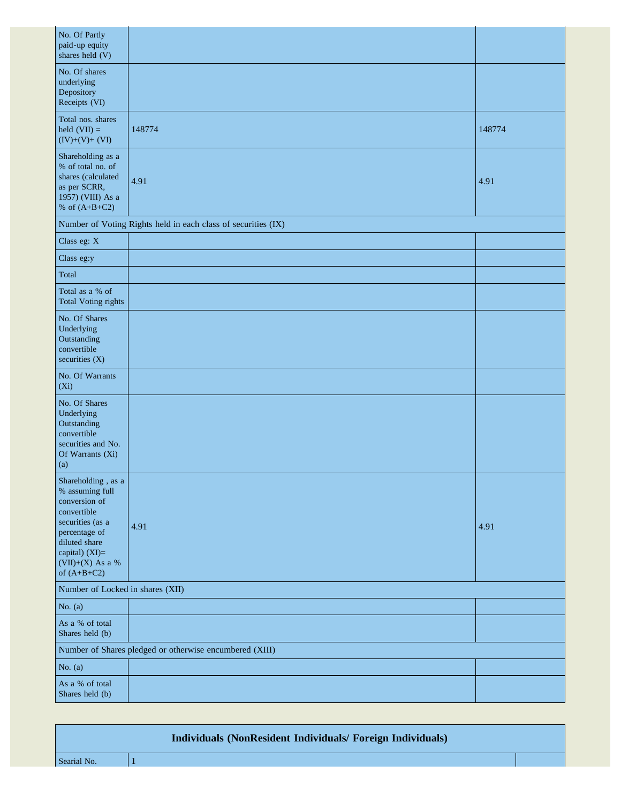| No. Of Partly<br>paid-up equity<br>shares held (V)                                                                                                                                   |                                                               |        |
|--------------------------------------------------------------------------------------------------------------------------------------------------------------------------------------|---------------------------------------------------------------|--------|
| No. Of shares<br>underlying<br>Depository<br>Receipts (VI)                                                                                                                           |                                                               |        |
| Total nos. shares<br>held $(VII) =$<br>$(IV)+(V)+(VI)$                                                                                                                               | 148774                                                        | 148774 |
| Shareholding as a<br>% of total no. of<br>shares (calculated<br>as per SCRR,<br>1957) (VIII) As a<br>% of $(A+B+C2)$                                                                 | 4.91                                                          | 4.91   |
|                                                                                                                                                                                      | Number of Voting Rights held in each class of securities (IX) |        |
| Class eg: X                                                                                                                                                                          |                                                               |        |
| Class eg:y                                                                                                                                                                           |                                                               |        |
| Total                                                                                                                                                                                |                                                               |        |
| Total as a % of<br><b>Total Voting rights</b>                                                                                                                                        |                                                               |        |
| No. Of Shares<br>Underlying<br>Outstanding<br>convertible<br>securities (X)                                                                                                          |                                                               |        |
| No. Of Warrants<br>(Xi)                                                                                                                                                              |                                                               |        |
| No. Of Shares<br>Underlying<br>Outstanding<br>convertible<br>securities and No.<br>Of Warrants (Xi)<br>(a)                                                                           |                                                               |        |
| Shareholding, as a<br>% assuming full<br>conversion of<br>convertible<br>securities (as a<br>percentage of<br>diluted share<br>capital) (XI)=<br>$(VII)+(X)$ As a %<br>of $(A+B+C2)$ | 4.91                                                          | 4.91   |
| Number of Locked in shares (XII)                                                                                                                                                     |                                                               |        |
| No. $(a)$                                                                                                                                                                            |                                                               |        |
| As a % of total<br>Shares held (b)                                                                                                                                                   |                                                               |        |
|                                                                                                                                                                                      | Number of Shares pledged or otherwise encumbered (XIII)       |        |
| No. $(a)$                                                                                                                                                                            |                                                               |        |
| As a % of total<br>Shares held (b)                                                                                                                                                   |                                                               |        |

|             | Individuals (NonResident Individuals/ Foreign Individuals) |  |
|-------------|------------------------------------------------------------|--|
| Searial No. |                                                            |  |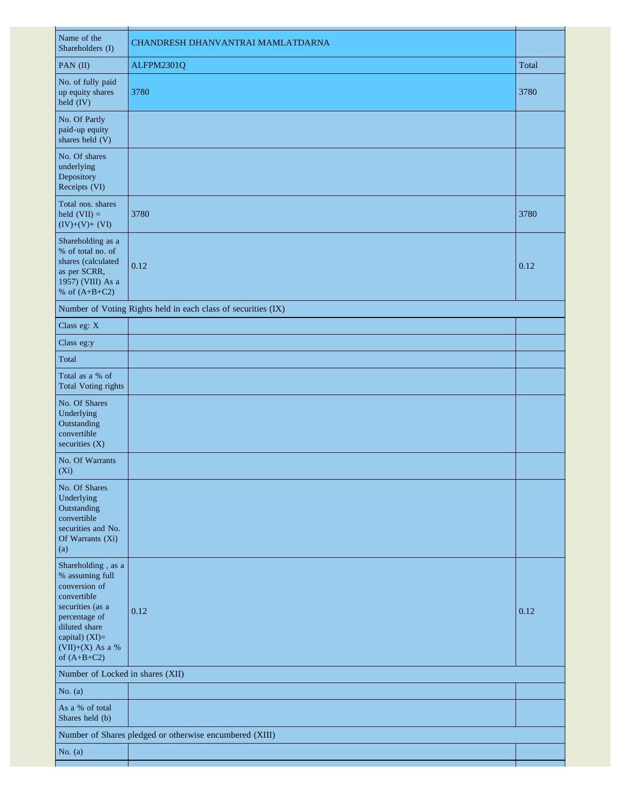| Name of the<br>Shareholders (I)                                                                                                                                                      | CHANDRESH DHANVANTRAI MAMLATDARNA                             |       |
|--------------------------------------------------------------------------------------------------------------------------------------------------------------------------------------|---------------------------------------------------------------|-------|
| PAN (II)                                                                                                                                                                             | ALFPM2301Q                                                    | Total |
| No. of fully paid<br>up equity shares<br>held $(IV)$                                                                                                                                 | 3780                                                          | 3780  |
| No. Of Partly<br>paid-up equity<br>shares held (V)                                                                                                                                   |                                                               |       |
| No. Of shares<br>underlying<br>Depository<br>Receipts (VI)                                                                                                                           |                                                               |       |
| Total nos. shares<br>held $(VII) =$<br>$(IV)+(V)+(VI)$                                                                                                                               | 3780                                                          | 3780  |
| Shareholding as a<br>% of total no. of<br>shares (calculated<br>as per SCRR,<br>1957) (VIII) As a<br>% of $(A+B+C2)$                                                                 | 0.12                                                          | 0.12  |
|                                                                                                                                                                                      | Number of Voting Rights held in each class of securities (IX) |       |
| Class eg: X                                                                                                                                                                          |                                                               |       |
| Class eg:y                                                                                                                                                                           |                                                               |       |
| Total                                                                                                                                                                                |                                                               |       |
| Total as a % of<br><b>Total Voting rights</b>                                                                                                                                        |                                                               |       |
| No. Of Shares<br>Underlying<br>Outstanding<br>convertible<br>securities (X)                                                                                                          |                                                               |       |
| No. Of Warrants<br>$(X_i)$                                                                                                                                                           |                                                               |       |
| No. Of Shares<br>Underlying<br>Outstanding<br>convertible<br>securities and No.<br>Of Warrants (Xi)<br>(a)                                                                           |                                                               |       |
| Shareholding, as a<br>% assuming full<br>conversion of<br>convertible<br>securities (as a<br>percentage of<br>diluted share<br>capital) $(XI)=$<br>(VII)+(X) As a %<br>of $(A+B+C2)$ | 0.12                                                          | 0.12  |
| Number of Locked in shares (XII)                                                                                                                                                     |                                                               |       |
| No. $(a)$                                                                                                                                                                            |                                                               |       |
| As a % of total<br>Shares held (b)                                                                                                                                                   |                                                               |       |
|                                                                                                                                                                                      | Number of Shares pledged or otherwise encumbered (XIII)       |       |
| No. $(a)$                                                                                                                                                                            |                                                               |       |
|                                                                                                                                                                                      |                                                               |       |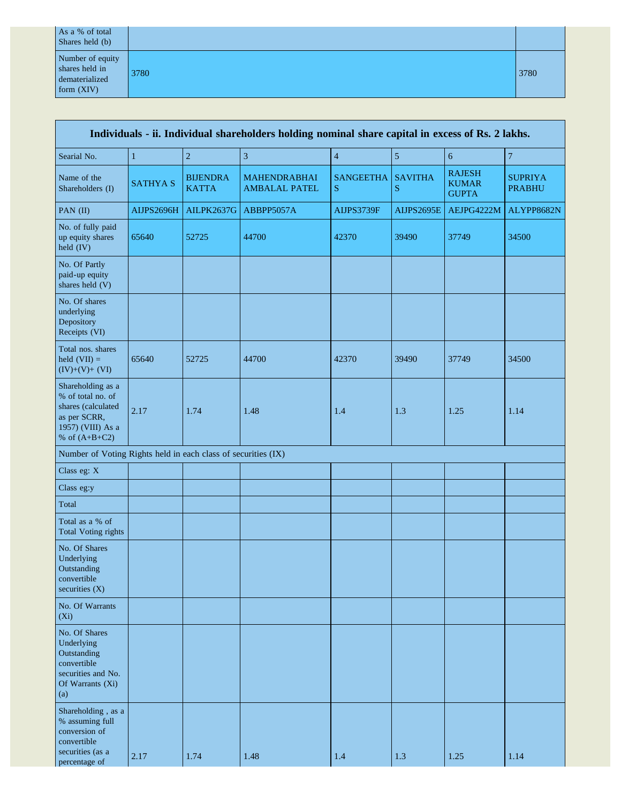| As a % of total<br>Shares held (b)                                   |      |      |
|----------------------------------------------------------------------|------|------|
| Number of equity<br>shares held in<br>dematerialized<br>form $(XIV)$ | 3780 | 3780 |

| Individuals - ii. Individual shareholders holding nominal share capital in excess of Rs. 2 lakhs.                    |                 |                                 |                                             |                       |                             |                                               |                                 |
|----------------------------------------------------------------------------------------------------------------------|-----------------|---------------------------------|---------------------------------------------|-----------------------|-----------------------------|-----------------------------------------------|---------------------------------|
| Searial No.                                                                                                          | $\mathbf{1}$    | $\mathbf 2$                     | $\overline{3}$                              | $\overline{4}$        | $\sqrt{5}$                  | $\sqrt{6}$                                    | $\overline{7}$                  |
| Name of the<br>Shareholders (I)                                                                                      | <b>SATHYA S</b> | <b>BIJENDRA</b><br><b>KATTA</b> | <b>MAHENDRABHAI</b><br><b>AMBALAL PATEL</b> | <b>SANGEETHA</b><br>S | <b>SAVITHA</b><br>${\bf S}$ | <b>RAJESH</b><br><b>KUMAR</b><br><b>GUPTA</b> | <b>SUPRIYA</b><br><b>PRABHU</b> |
| PAN (II)                                                                                                             | AIJPS2696H      | <b>AILPK2637G</b>               | ABBPP5057A                                  | AIJPS3739F            | <b>AIJPS2695E</b>           | AEJPG4222M                                    | ALYPP8682N                      |
| No. of fully paid<br>up equity shares<br>held (IV)                                                                   | 65640           | 52725                           | 44700                                       | 42370                 | 39490                       | 37749                                         | 34500                           |
| No. Of Partly<br>paid-up equity<br>shares held (V)                                                                   |                 |                                 |                                             |                       |                             |                                               |                                 |
| No. Of shares<br>underlying<br>Depository<br>Receipts (VI)                                                           |                 |                                 |                                             |                       |                             |                                               |                                 |
| Total nos. shares<br>held $(VII) =$<br>$(IV)+(V)+(VI)$                                                               | 65640           | 52725                           | 44700                                       | 42370                 | 39490                       | 37749                                         | 34500                           |
| Shareholding as a<br>% of total no. of<br>shares (calculated<br>as per SCRR,<br>1957) (VIII) As a<br>% of $(A+B+C2)$ | 2.17            | 1.74                            | 1.48                                        | 1.4                   | 1.3                         | 1.25                                          | 1.14                            |
| Number of Voting Rights held in each class of securities (IX)                                                        |                 |                                 |                                             |                       |                             |                                               |                                 |
| Class eg: X                                                                                                          |                 |                                 |                                             |                       |                             |                                               |                                 |
| Class eg:y                                                                                                           |                 |                                 |                                             |                       |                             |                                               |                                 |
| Total                                                                                                                |                 |                                 |                                             |                       |                             |                                               |                                 |
| Total as a % of<br><b>Total Voting rights</b>                                                                        |                 |                                 |                                             |                       |                             |                                               |                                 |
| No. Of Shares<br>Underlying<br>Outstanding<br>convertible<br>securities (X)                                          |                 |                                 |                                             |                       |                             |                                               |                                 |
| No. Of Warrants<br>$(X_i)$                                                                                           |                 |                                 |                                             |                       |                             |                                               |                                 |
| No. Of Shares<br>Underlying<br>Outstanding<br>convertible<br>securities and No.<br>Of Warrants (Xi)<br>(a)           |                 |                                 |                                             |                       |                             |                                               |                                 |
| Shareholding, as a<br>% assuming full<br>conversion of<br>convertible<br>securities (as a<br>percentage of           | 2.17            | 1.74                            | 1.48                                        | 1.4                   | 1.3                         | 1.25                                          | 1.14                            |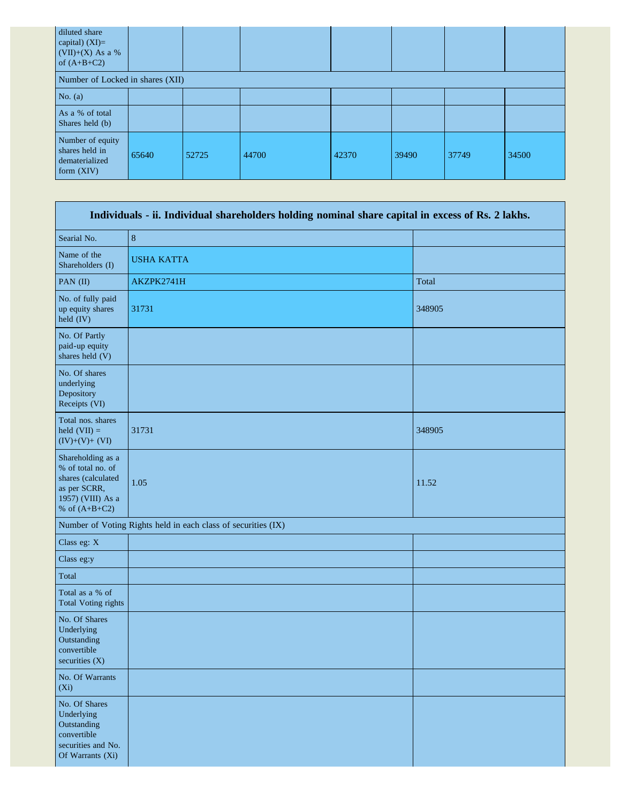| diluted share<br>capital) $(XI)=$<br>$(VII)+(X)$ As a %<br>of $(A+B+C2)$ |       |       |       |       |       |       |       |
|--------------------------------------------------------------------------|-------|-------|-------|-------|-------|-------|-------|
| Number of Locked in shares (XII)                                         |       |       |       |       |       |       |       |
| No. $(a)$                                                                |       |       |       |       |       |       |       |
| As a % of total<br>Shares held (b)                                       |       |       |       |       |       |       |       |
| Number of equity<br>shares held in<br>dematerialized<br>form $(XIV)$     | 65640 | 52725 | 44700 | 42370 | 39490 | 37749 | 34500 |

| Individuals - ii. Individual shareholders holding nominal share capital in excess of Rs. 2 lakhs.                    |                                                               |        |  |
|----------------------------------------------------------------------------------------------------------------------|---------------------------------------------------------------|--------|--|
| Searial No.                                                                                                          | $\,8\,$                                                       |        |  |
| Name of the<br>Shareholders (I)                                                                                      | <b>USHA KATTA</b>                                             |        |  |
| PAN (II)                                                                                                             | AKZPK2741H                                                    | Total  |  |
| No. of fully paid<br>up equity shares<br>held (IV)                                                                   | 31731                                                         | 348905 |  |
| No. Of Partly<br>paid-up equity<br>shares held (V)                                                                   |                                                               |        |  |
| No. Of shares<br>underlying<br>Depository<br>Receipts (VI)                                                           |                                                               |        |  |
| Total nos. shares<br>held $(VII) =$<br>$(IV)+(V)+(VI)$                                                               | 31731                                                         | 348905 |  |
| Shareholding as a<br>% of total no. of<br>shares (calculated<br>as per SCRR,<br>1957) (VIII) As a<br>% of $(A+B+C2)$ | 1.05                                                          | 11.52  |  |
|                                                                                                                      | Number of Voting Rights held in each class of securities (IX) |        |  |
| Class eg: X                                                                                                          |                                                               |        |  |
| Class eg:y                                                                                                           |                                                               |        |  |
| Total                                                                                                                |                                                               |        |  |
| Total as a % of<br><b>Total Voting rights</b>                                                                        |                                                               |        |  |
| No. Of Shares<br>Underlying<br>Outstanding<br>convertible<br>securities (X)                                          |                                                               |        |  |
| No. Of Warrants<br>$(X_i)$                                                                                           |                                                               |        |  |
| No. Of Shares<br>Underlying<br>Outstanding<br>convertible<br>securities and No.<br>Of Warrants (Xi)                  |                                                               |        |  |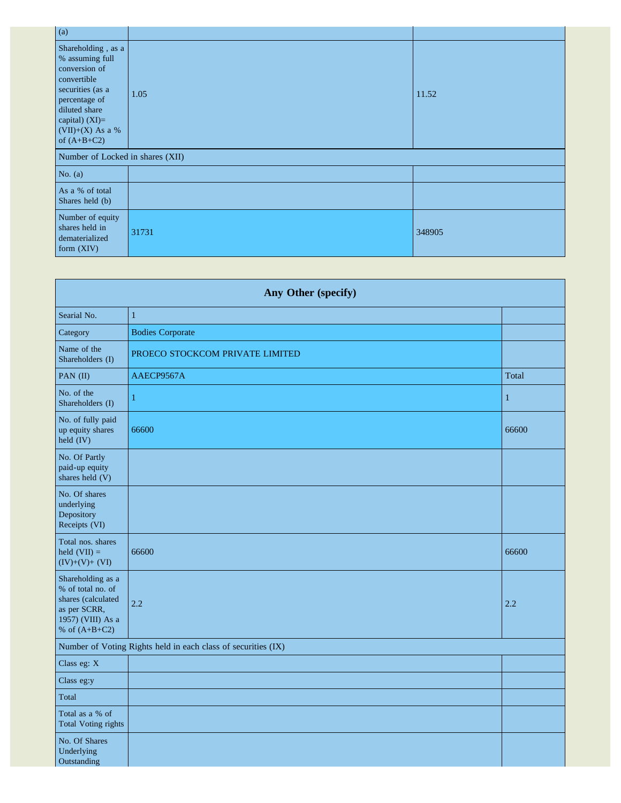| $\alpha$                                                                                                                                                                           |       |        |
|------------------------------------------------------------------------------------------------------------------------------------------------------------------------------------|-------|--------|
| Shareholding, as a<br>% assuming full<br>conversion of<br>convertible<br>securities (as a<br>percentage of<br>diluted share<br>capital) (XI)=<br>(VII)+(X) As a %<br>of $(A+B+C2)$ | 1.05  | 11.52  |
| Number of Locked in shares (XII)                                                                                                                                                   |       |        |
| No. $(a)$                                                                                                                                                                          |       |        |
| As a % of total<br>Shares held (b)                                                                                                                                                 |       |        |
| Number of equity<br>shares held in<br>dematerialized<br>form $(XIV)$                                                                                                               | 31731 | 348905 |

| Any Other (specify)                                                                                                  |                                                               |              |  |
|----------------------------------------------------------------------------------------------------------------------|---------------------------------------------------------------|--------------|--|
| Searial No.                                                                                                          | $\mathbf{1}$                                                  |              |  |
| Category                                                                                                             | <b>Bodies Corporate</b>                                       |              |  |
| Name of the<br>Shareholders (I)                                                                                      | PROECO STOCKCOM PRIVATE LIMITED                               |              |  |
| PAN (II)                                                                                                             | AAECP9567A                                                    | Total        |  |
| No. of the<br>Shareholders (I)                                                                                       | 1                                                             | $\mathbf{1}$ |  |
| No. of fully paid<br>up equity shares<br>held (IV)                                                                   | 66600                                                         | 66600        |  |
| No. Of Partly<br>paid-up equity<br>shares held (V)                                                                   |                                                               |              |  |
| No. Of shares<br>underlying<br>Depository<br>Receipts (VI)                                                           |                                                               |              |  |
| Total nos. shares<br>held $(VII) =$<br>$(IV)+(V)+(VI)$                                                               | 66600                                                         | 66600        |  |
| Shareholding as a<br>% of total no. of<br>shares (calculated<br>as per SCRR,<br>1957) (VIII) As a<br>% of $(A+B+C2)$ | 2.2                                                           | 2.2          |  |
|                                                                                                                      | Number of Voting Rights held in each class of securities (IX) |              |  |
| Class eg: X                                                                                                          |                                                               |              |  |
| Class eg:y                                                                                                           |                                                               |              |  |
| Total                                                                                                                |                                                               |              |  |
| Total as a % of<br><b>Total Voting rights</b>                                                                        |                                                               |              |  |
| No. Of Shares<br>Underlying<br>Outstanding                                                                           |                                                               |              |  |